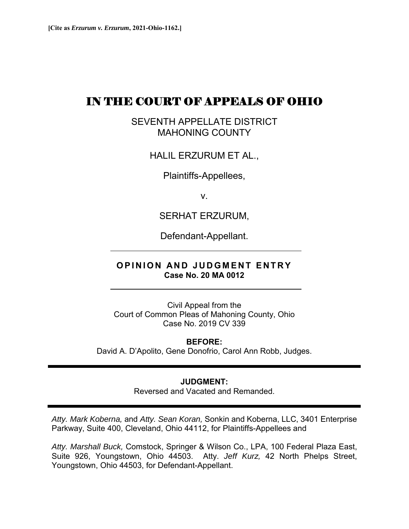# IN THE COURT OF APPEALS OF OHIO

SEVENTH APPELLATE DISTRICT MAHONING COUNTY

HALIL ERZURUM ET AL.,

Plaintiffs-Appellees,

v.

SERHAT ERZURUM,

Defendant-Appellant.

## **OPINION AND JUDGMENT ENTRY Case No. 20 MA 0012**

Civil Appeal from the Court of Common Pleas of Mahoning County, Ohio Case No. 2019 CV 339

**BEFORE:**  David A. D'Apolito, Gene Donofrio, Carol Ann Robb, Judges.

#### **JUDGMENT:**

Reversed and Vacated and Remanded.

*Atty. Mark Koberna,* and *Atty. Sean Koran,* Sonkin and Koberna, LLC, 3401 Enterprise Parkway, Suite 400, Cleveland, Ohio 44112, for Plaintiffs-Appellees and

*Atty. Marshall Buck,* Comstock, Springer & Wilson Co., LPA, 100 Federal Plaza East, Suite 926, Youngstown, Ohio 44503. Atty. *Jeff Kurz,* 42 North Phelps Street, Youngstown, Ohio 44503, for Defendant-Appellant.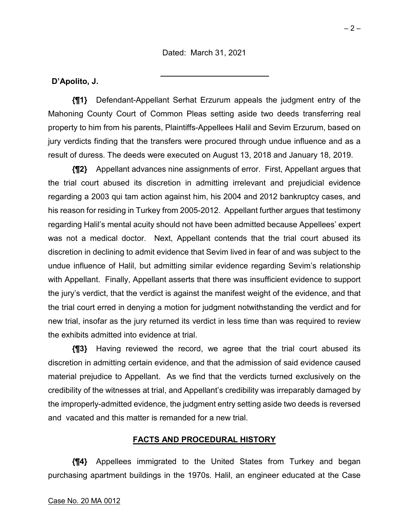### **D'Apolito, J.**

**{¶1}** Defendant-Appellant Serhat Erzurum appeals the judgment entry of the Mahoning County Court of Common Pleas setting aside two deeds transferring real property to him from his parents, Plaintiffs-Appellees Halil and Sevim Erzurum, based on jury verdicts finding that the transfers were procured through undue influence and as a result of duress. The deeds were executed on August 13, 2018 and January 18, 2019.

**{¶2}** Appellant advances nine assignments of error. First, Appellant argues that the trial court abused its discretion in admitting irrelevant and prejudicial evidence regarding a 2003 qui tam action against him, his 2004 and 2012 bankruptcy cases, and his reason for residing in Turkey from 2005-2012. Appellant further argues that testimony regarding Halil's mental acuity should not have been admitted because Appellees' expert was not a medical doctor. Next, Appellant contends that the trial court abused its discretion in declining to admit evidence that Sevim lived in fear of and was subject to the undue influence of Halil, but admitting similar evidence regarding Sevim's relationship with Appellant. Finally, Appellant asserts that there was insufficient evidence to support the jury's verdict, that the verdict is against the manifest weight of the evidence, and that the trial court erred in denying a motion for judgment notwithstanding the verdict and for new trial, insofar as the jury returned its verdict in less time than was required to review the exhibits admitted into evidence at trial.

**{¶3}** Having reviewed the record, we agree that the trial court abused its discretion in admitting certain evidence, and that the admission of said evidence caused material prejudice to Appellant. As we find that the verdicts turned exclusively on the credibility of the witnesses at trial, and Appellant's credibility was irreparably damaged by the improperly-admitted evidence, the judgment entry setting aside two deeds is reversed and vacated and this matter is remanded for a new trial.

#### **FACTS AND PROCEDURAL HISTORY**

**{¶4}** Appellees immigrated to the United States from Turkey and began purchasing apartment buildings in the 1970s. Halil, an engineer educated at the Case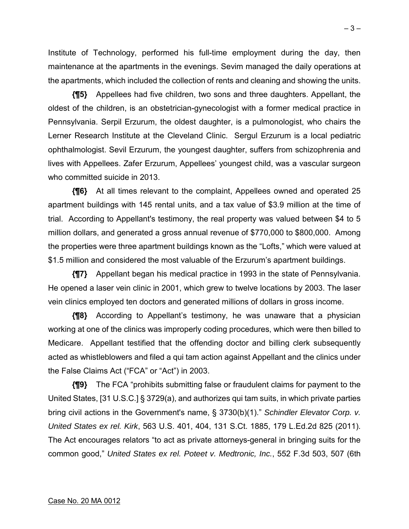Institute of Technology, performed his full-time employment during the day, then maintenance at the apartments in the evenings. Sevim managed the daily operations at the apartments, which included the collection of rents and cleaning and showing the units.

**{¶5}** Appellees had five children, two sons and three daughters. Appellant, the oldest of the children, is an obstetrician-gynecologist with a former medical practice in Pennsylvania. Serpil Erzurum, the oldest daughter, is a pulmonologist, who chairs the Lerner Research Institute at the Cleveland Clinic. Sergul Erzurum is a local pediatric ophthalmologist. Sevil Erzurum, the youngest daughter, suffers from schizophrenia and lives with Appellees. Zafer Erzurum, Appellees' youngest child, was a vascular surgeon who committed suicide in 2013.

**{¶6}** At all times relevant to the complaint, Appellees owned and operated 25 apartment buildings with 145 rental units, and a tax value of \$3.9 million at the time of trial. According to Appellant's testimony, the real property was valued between \$4 to 5 million dollars, and generated a gross annual revenue of \$770,000 to \$800,000. Among the properties were three apartment buildings known as the "Lofts," which were valued at \$1.5 million and considered the most valuable of the Erzurum's apartment buildings.

**{¶7}** Appellant began his medical practice in 1993 in the state of Pennsylvania. He opened a laser vein clinic in 2001, which grew to twelve locations by 2003. The laser vein clinics employed ten doctors and generated millions of dollars in gross income.

**{¶8}** According to Appellant's testimony, he was unaware that a physician working at one of the clinics was improperly coding procedures, which were then billed to Medicare. Appellant testified that the offending doctor and billing clerk subsequently acted as whistleblowers and filed a qui tam action against Appellant and the clinics under the False Claims Act ("FCA" or "Act") in 2003.

**{¶9}** The FCA "prohibits submitting false or fraudulent claims for payment to the United States, [31 U.S.C.] § 3729(a), and authorizes qui tam suits, in which private parties bring civil actions in the Government's name, § 3730(b)(1)." *Schindler Elevator Corp. v. United States ex rel. Kirk*, 563 U.S. 401, 404, 131 S.Ct. 1885, 179 L.Ed.2d 825 (2011). The Act encourages relators "to act as private attorneys-general in bringing suits for the common good," *United States ex rel. Poteet v. Medtronic, Inc.*, 552 F.3d 503, 507 (6th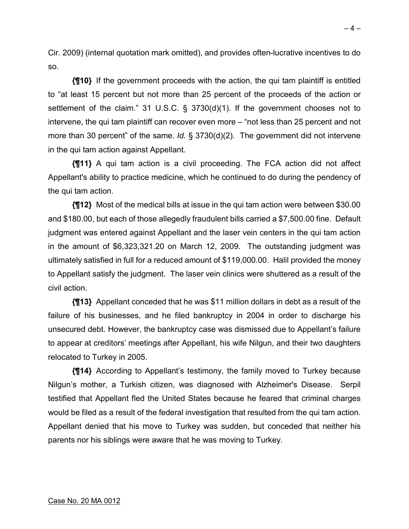Cir. 2009) (internal quotation mark omitted), and provides often-lucrative incentives to do so.

**{¶10}** If the government proceeds with the action, the qui tam plaintiff is entitled to "at least 15 percent but not more than 25 percent of the proceeds of the action or settlement of the claim." 31 U.S.C. § 3730(d)(1). If the government chooses not to intervene, the qui tam plaintiff can recover even more – "not less than 25 percent and not more than 30 percent" of the same. *Id.* § 3730(d)(2). The government did not intervene in the qui tam action against Appellant.

**{¶11}** A qui tam action is a civil proceeding. The FCA action did not affect Appellant's ability to practice medicine, which he continued to do during the pendency of the qui tam action.

**{¶12}** Most of the medical bills at issue in the qui tam action were between \$30.00 and \$180.00, but each of those allegedly fraudulent bills carried a \$7,500.00 fine. Default judgment was entered against Appellant and the laser vein centers in the qui tam action in the amount of \$6,323,321.20 on March 12, 2009. The outstanding judgment was ultimately satisfied in full for a reduced amount of \$119,000.00. Halil provided the money to Appellant satisfy the judgment. The laser vein clinics were shuttered as a result of the civil action.

**{¶13}** Appellant conceded that he was \$11 million dollars in debt as a result of the failure of his businesses, and he filed bankruptcy in 2004 in order to discharge his unsecured debt. However, the bankruptcy case was dismissed due to Appellant's failure to appear at creditors' meetings after Appellant, his wife Nilgun, and their two daughters relocated to Turkey in 2005.

**{¶14}** According to Appellant's testimony, the family moved to Turkey because Nilgun's mother, a Turkish citizen, was diagnosed with Alzheimer's Disease. Serpil testified that Appellant fled the United States because he feared that criminal charges would be filed as a result of the federal investigation that resulted from the qui tam action. Appellant denied that his move to Turkey was sudden, but conceded that neither his parents nor his siblings were aware that he was moving to Turkey.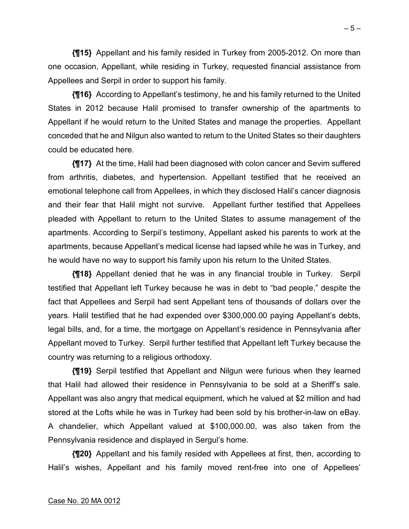**{¶15}** Appellant and his family resided in Turkey from 2005-2012. On more than one occasion, Appellant, while residing in Turkey, requested financial assistance from Appellees and Serpil in order to support his family.

**{¶16}** According to Appellant's testimony, he and his family returned to the United States in 2012 because Halil promised to transfer ownership of the apartments to Appellant if he would return to the United States and manage the properties. Appellant conceded that he and Nilgun also wanted to return to the United States so their daughters could be educated here.

**{¶17}** At the time, Halil had been diagnosed with colon cancer and Sevim suffered from arthritis, diabetes, and hypertension. Appellant testified that he received an emotional telephone call from Appellees, in which they disclosed Halil's cancer diagnosis and their fear that Halil might not survive. Appellant further testified that Appellees pleaded with Appellant to return to the United States to assume management of the apartments. According to Serpil's testimony, Appellant asked his parents to work at the apartments, because Appellant's medical license had lapsed while he was in Turkey, and he would have no way to support his family upon his return to the United States.

**{¶18}** Appellant denied that he was in any financial trouble in Turkey. Serpil testified that Appellant left Turkey because he was in debt to "bad people," despite the fact that Appellees and Serpil had sent Appellant tens of thousands of dollars over the years. Halil testified that he had expended over \$300,000.00 paying Appellant's debts, legal bills, and, for a time, the mortgage on Appellant's residence in Pennsylvania after Appellant moved to Turkey. Serpil further testified that Appellant left Turkey because the country was returning to a religious orthodoxy.

**{¶19}** Serpil testified that Appellant and Nilgun were furious when they learned that Halil had allowed their residence in Pennsylvania to be sold at a Sheriff's sale. Appellant was also angry that medical equipment, which he valued at \$2 million and had stored at the Lofts while he was in Turkey had been sold by his brother-in-law on eBay. A chandelier, which Appellant valued at \$100,000.00, was also taken from the Pennsylvania residence and displayed in Sergul's home.

**{¶20}** Appellant and his family resided with Appellees at first, then, according to Halil's wishes, Appellant and his family moved rent-free into one of Appellees'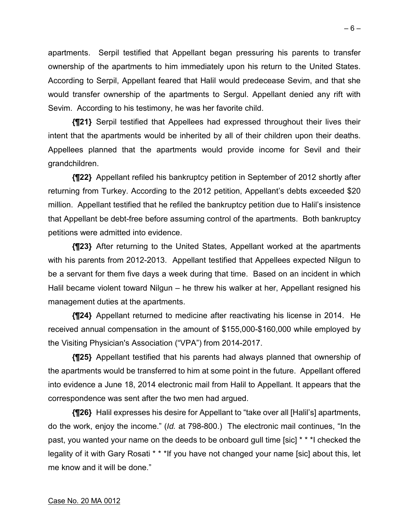apartments. Serpil testified that Appellant began pressuring his parents to transfer ownership of the apartments to him immediately upon his return to the United States. According to Serpil, Appellant feared that Halil would predecease Sevim, and that she would transfer ownership of the apartments to Sergul. Appellant denied any rift with Sevim. According to his testimony, he was her favorite child.

**{¶21}** Serpil testified that Appellees had expressed throughout their lives their intent that the apartments would be inherited by all of their children upon their deaths. Appellees planned that the apartments would provide income for Sevil and their grandchildren.

**{¶22}** Appellant refiled his bankruptcy petition in September of 2012 shortly after returning from Turkey. According to the 2012 petition, Appellant's debts exceeded \$20 million. Appellant testified that he refiled the bankruptcy petition due to Halil's insistence that Appellant be debt-free before assuming control of the apartments. Both bankruptcy petitions were admitted into evidence.

**{¶23}** After returning to the United States, Appellant worked at the apartments with his parents from 2012-2013. Appellant testified that Appellees expected Nilgun to be a servant for them five days a week during that time. Based on an incident in which Halil became violent toward Nilgun – he threw his walker at her, Appellant resigned his management duties at the apartments.

**{¶24}** Appellant returned to medicine after reactivating his license in 2014. He received annual compensation in the amount of \$155,000-\$160,000 while employed by the Visiting Physician's Association ("VPA") from 2014-2017.

**{¶25}** Appellant testified that his parents had always planned that ownership of the apartments would be transferred to him at some point in the future. Appellant offered into evidence a June 18, 2014 electronic mail from Halil to Appellant. It appears that the correspondence was sent after the two men had argued.

**{¶26}** Halil expresses his desire for Appellant to "take over all [Halil's] apartments, do the work, enjoy the income." (*Id.* at 798-800.) The electronic mail continues, "In the past, you wanted your name on the deeds to be onboard gull time [sic] \* \* \*I checked the legality of it with Gary Rosati \* \* \*If you have not changed your name [sic] about this, let me know and it will be done."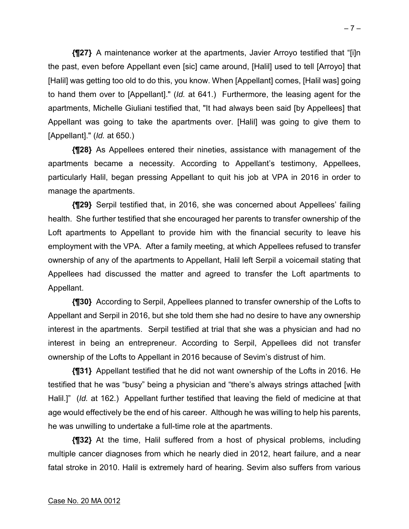**{¶27}** A maintenance worker at the apartments, Javier Arroyo testified that "[i]n the past, even before Appellant even [sic] came around, [Halil] used to tell [Arroyo] that [Halil] was getting too old to do this, you know. When [Appellant] comes, [Halil was] going to hand them over to [Appellant]." (*Id.* at 641.) Furthermore, the leasing agent for the apartments, Michelle Giuliani testified that, "It had always been said [by Appellees] that Appellant was going to take the apartments over. [Halil] was going to give them to [Appellant]." (*Id.* at 650.)

**{¶28}** As Appellees entered their nineties, assistance with management of the apartments became a necessity. According to Appellant's testimony, Appellees, particularly Halil, began pressing Appellant to quit his job at VPA in 2016 in order to manage the apartments.

**{¶29}** Serpil testified that, in 2016, she was concerned about Appellees' failing health. She further testified that she encouraged her parents to transfer ownership of the Loft apartments to Appellant to provide him with the financial security to leave his employment with the VPA. After a family meeting, at which Appellees refused to transfer ownership of any of the apartments to Appellant, Halil left Serpil a voicemail stating that Appellees had discussed the matter and agreed to transfer the Loft apartments to Appellant.

**{¶30}** According to Serpil, Appellees planned to transfer ownership of the Lofts to Appellant and Serpil in 2016, but she told them she had no desire to have any ownership interest in the apartments. Serpil testified at trial that she was a physician and had no interest in being an entrepreneur. According to Serpil, Appellees did not transfer ownership of the Lofts to Appellant in 2016 because of Sevim's distrust of him.

**{¶31}** Appellant testified that he did not want ownership of the Lofts in 2016. He testified that he was "busy" being a physician and "there's always strings attached [with Halil.]" (*Id.* at 162.) Appellant further testified that leaving the field of medicine at that age would effectively be the end of his career. Although he was willing to help his parents, he was unwilling to undertake a full-time role at the apartments.

**{¶32}** At the time, Halil suffered from a host of physical problems, including multiple cancer diagnoses from which he nearly died in 2012, heart failure, and a near fatal stroke in 2010. Halil is extremely hard of hearing. Sevim also suffers from various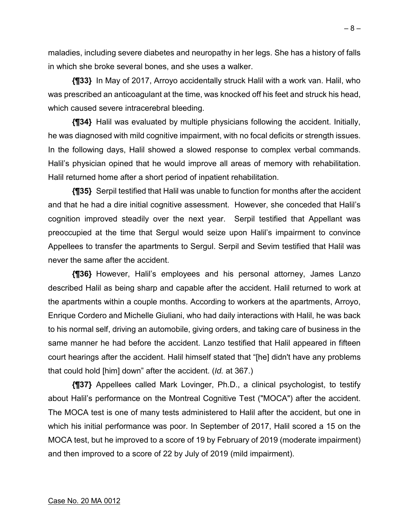maladies, including severe diabetes and neuropathy in her legs. She has a history of falls in which she broke several bones, and she uses a walker.

**{¶33}** In May of 2017, Arroyo accidentally struck Halil with a work van. Halil, who was prescribed an anticoagulant at the time, was knocked off his feet and struck his head, which caused severe intracerebral bleeding.

**{¶34}** Halil was evaluated by multiple physicians following the accident. Initially, he was diagnosed with mild cognitive impairment, with no focal deficits or strength issues. In the following days, Halil showed a slowed response to complex verbal commands. Halil's physician opined that he would improve all areas of memory with rehabilitation. Halil returned home after a short period of inpatient rehabilitation.

**{¶35}** Serpil testified that Halil was unable to function for months after the accident and that he had a dire initial cognitive assessment. However, she conceded that Halil's cognition improved steadily over the next year. Serpil testified that Appellant was preoccupied at the time that Sergul would seize upon Halil's impairment to convince Appellees to transfer the apartments to Sergul. Serpil and Sevim testified that Halil was never the same after the accident.

**{¶36}** However, Halil's employees and his personal attorney, James Lanzo described Halil as being sharp and capable after the accident. Halil returned to work at the apartments within a couple months. According to workers at the apartments, Arroyo, Enrique Cordero and Michelle Giuliani, who had daily interactions with Halil, he was back to his normal self, driving an automobile, giving orders, and taking care of business in the same manner he had before the accident. Lanzo testified that Halil appeared in fifteen court hearings after the accident. Halil himself stated that "[he] didn't have any problems that could hold [him] down" after the accident. (*Id.* at 367.)

**{¶37}** Appellees called Mark Lovinger, Ph.D., a clinical psychologist, to testify about Halil's performance on the Montreal Cognitive Test ("MOCA") after the accident. The MOCA test is one of many tests administered to Halil after the accident, but one in which his initial performance was poor. In September of 2017, Halil scored a 15 on the MOCA test, but he improved to a score of 19 by February of 2019 (moderate impairment) and then improved to a score of 22 by July of 2019 (mild impairment).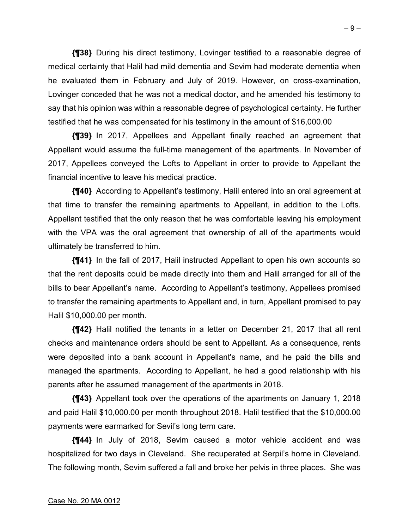**{¶38}** During his direct testimony, Lovinger testified to a reasonable degree of medical certainty that Halil had mild dementia and Sevim had moderate dementia when he evaluated them in February and July of 2019. However, on cross-examination, Lovinger conceded that he was not a medical doctor, and he amended his testimony to say that his opinion was within a reasonable degree of psychological certainty. He further testified that he was compensated for his testimony in the amount of \$16,000.00

**{¶39}** In 2017, Appellees and Appellant finally reached an agreement that Appellant would assume the full-time management of the apartments. In November of 2017, Appellees conveyed the Lofts to Appellant in order to provide to Appellant the financial incentive to leave his medical practice.

**{¶40}** According to Appellant's testimony, Halil entered into an oral agreement at that time to transfer the remaining apartments to Appellant, in addition to the Lofts. Appellant testified that the only reason that he was comfortable leaving his employment with the VPA was the oral agreement that ownership of all of the apartments would ultimately be transferred to him.

**{¶41}** In the fall of 2017, Halil instructed Appellant to open his own accounts so that the rent deposits could be made directly into them and Halil arranged for all of the bills to bear Appellant's name. According to Appellant's testimony, Appellees promised to transfer the remaining apartments to Appellant and, in turn, Appellant promised to pay Halil \$10,000.00 per month.

**{¶42}** Halil notified the tenants in a letter on December 21, 2017 that all rent checks and maintenance orders should be sent to Appellant. As a consequence, rents were deposited into a bank account in Appellant's name, and he paid the bills and managed the apartments. According to Appellant, he had a good relationship with his parents after he assumed management of the apartments in 2018.

**{¶43}** Appellant took over the operations of the apartments on January 1, 2018 and paid Halil \$10,000.00 per month throughout 2018. Halil testified that the \$10,000.00 payments were earmarked for Sevil's long term care.

**{¶44}** In July of 2018, Sevim caused a motor vehicle accident and was hospitalized for two days in Cleveland. She recuperated at Serpil's home in Cleveland. The following month, Sevim suffered a fall and broke her pelvis in three places. She was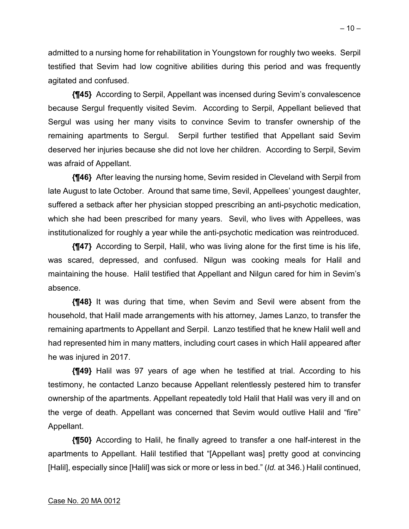admitted to a nursing home for rehabilitation in Youngstown for roughly two weeks. Serpil testified that Sevim had low cognitive abilities during this period and was frequently agitated and confused.

**{¶45}** According to Serpil, Appellant was incensed during Sevim's convalescence because Sergul frequently visited Sevim. According to Serpil, Appellant believed that Sergul was using her many visits to convince Sevim to transfer ownership of the remaining apartments to Sergul. Serpil further testified that Appellant said Sevim deserved her injuries because she did not love her children. According to Serpil, Sevim was afraid of Appellant.

**{¶46}** After leaving the nursing home, Sevim resided in Cleveland with Serpil from late August to late October. Around that same time, Sevil, Appellees' youngest daughter, suffered a setback after her physician stopped prescribing an anti-psychotic medication, which she had been prescribed for many years. Sevil, who lives with Appellees, was institutionalized for roughly a year while the anti-psychotic medication was reintroduced.

**{¶47}** According to Serpil, Halil, who was living alone for the first time is his life, was scared, depressed, and confused. Nilgun was cooking meals for Halil and maintaining the house. Halil testified that Appellant and Nilgun cared for him in Sevim's absence.

**{¶48}** It was during that time, when Sevim and Sevil were absent from the household, that Halil made arrangements with his attorney, James Lanzo, to transfer the remaining apartments to Appellant and Serpil. Lanzo testified that he knew Halil well and had represented him in many matters, including court cases in which Halil appeared after he was injured in 2017.

**{¶49}** Halil was 97 years of age when he testified at trial. According to his testimony, he contacted Lanzo because Appellant relentlessly pestered him to transfer ownership of the apartments. Appellant repeatedly told Halil that Halil was very ill and on the verge of death. Appellant was concerned that Sevim would outlive Halil and "fire" Appellant.

**{¶50}** According to Halil, he finally agreed to transfer a one half-interest in the apartments to Appellant. Halil testified that "[Appellant was] pretty good at convincing [Halil], especially since [Halil] was sick or more or less in bed." (*Id.* at 346.) Halil continued,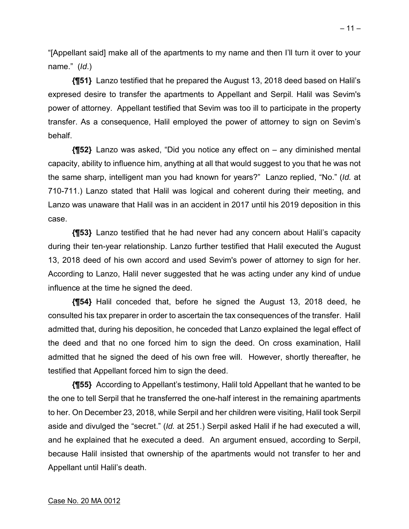"[Appellant said] make all of the apartments to my name and then I'll turn it over to your name." (*Id*.)

**{¶51}** Lanzo testified that he prepared the August 13, 2018 deed based on Halil's expresed desire to transfer the apartments to Appellant and Serpil. Halil was Sevim's power of attorney. Appellant testified that Sevim was too ill to participate in the property transfer. As a consequence, Halil employed the power of attorney to sign on Sevim's behalf.

**{¶52}** Lanzo was asked, "Did you notice any effect on – any diminished mental capacity, ability to influence him, anything at all that would suggest to you that he was not the same sharp, intelligent man you had known for years?" Lanzo replied, "No." (*Id.* at 710-711.) Lanzo stated that Halil was logical and coherent during their meeting, and Lanzo was unaware that Halil was in an accident in 2017 until his 2019 deposition in this case.

**{¶53}** Lanzo testified that he had never had any concern about Halil's capacity during their ten-year relationship. Lanzo further testified that Halil executed the August 13, 2018 deed of his own accord and used Sevim's power of attorney to sign for her. According to Lanzo, Halil never suggested that he was acting under any kind of undue influence at the time he signed the deed.

**{¶54}** Halil conceded that, before he signed the August 13, 2018 deed, he consulted his tax preparer in order to ascertain the tax consequences of the transfer. Halil admitted that, during his deposition, he conceded that Lanzo explained the legal effect of the deed and that no one forced him to sign the deed. On cross examination, Halil admitted that he signed the deed of his own free will. However, shortly thereafter, he testified that Appellant forced him to sign the deed.

**{¶55}** According to Appellant's testimony, Halil told Appellant that he wanted to be the one to tell Serpil that he transferred the one-half interest in the remaining apartments to her. On December 23, 2018, while Serpil and her children were visiting, Halil took Serpil aside and divulged the "secret." (*Id.* at 251.) Serpil asked Halil if he had executed a will, and he explained that he executed a deed. An argument ensued, according to Serpil, because Halil insisted that ownership of the apartments would not transfer to her and Appellant until Halil's death.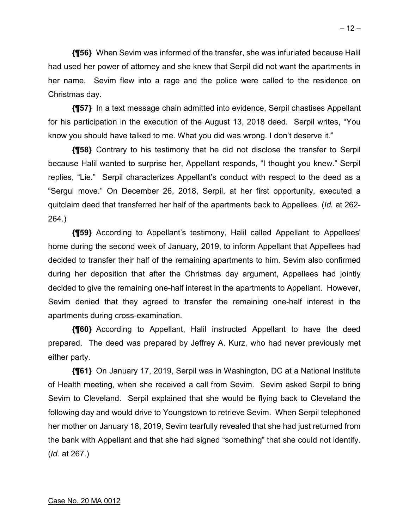**{¶56}** When Sevim was informed of the transfer, she was infuriated because Halil had used her power of attorney and she knew that Serpil did not want the apartments in her name. Sevim flew into a rage and the police were called to the residence on Christmas day.

**{¶57}** In a text message chain admitted into evidence, Serpil chastises Appellant for his participation in the execution of the August 13, 2018 deed. Serpil writes, "You know you should have talked to me. What you did was wrong. I don't deserve it."

**{¶58}** Contrary to his testimony that he did not disclose the transfer to Serpil because Halil wanted to surprise her, Appellant responds, "I thought you knew." Serpil replies, "Lie." Serpil characterizes Appellant's conduct with respect to the deed as a "Sergul move." On December 26, 2018, Serpil, at her first opportunity, executed a quitclaim deed that transferred her half of the apartments back to Appellees. (*Id.* at 262- 264.)

**{¶59}** According to Appellant's testimony, Halil called Appellant to Appellees' home during the second week of January, 2019, to inform Appellant that Appellees had decided to transfer their half of the remaining apartments to him. Sevim also confirmed during her deposition that after the Christmas day argument, Appellees had jointly decided to give the remaining one-half interest in the apartments to Appellant. However, Sevim denied that they agreed to transfer the remaining one-half interest in the apartments during cross-examination.

**{¶60}** According to Appellant, Halil instructed Appellant to have the deed prepared. The deed was prepared by Jeffrey A. Kurz, who had never previously met either party.

**{¶61}** On January 17, 2019, Serpil was in Washington, DC at a National Institute of Health meeting, when she received a call from Sevim. Sevim asked Serpil to bring Sevim to Cleveland. Serpil explained that she would be flying back to Cleveland the following day and would drive to Youngstown to retrieve Sevim. When Serpil telephoned her mother on January 18, 2019, Sevim tearfully revealed that she had just returned from the bank with Appellant and that she had signed "something" that she could not identify. (*Id.* at 267.)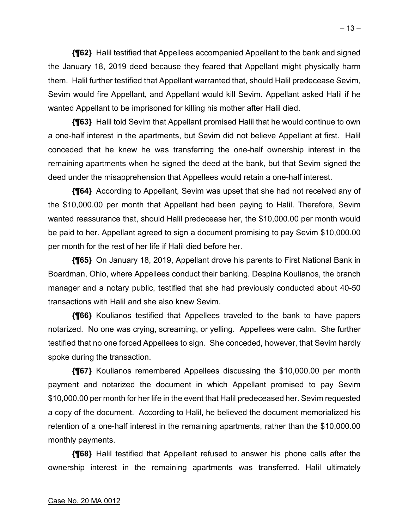**{¶62}** Halil testified that Appellees accompanied Appellant to the bank and signed the January 18, 2019 deed because they feared that Appellant might physically harm them. Halil further testified that Appellant warranted that, should Halil predecease Sevim, Sevim would fire Appellant, and Appellant would kill Sevim. Appellant asked Halil if he wanted Appellant to be imprisoned for killing his mother after Halil died.

**{¶63}** Halil told Sevim that Appellant promised Halil that he would continue to own a one-half interest in the apartments, but Sevim did not believe Appellant at first. Halil conceded that he knew he was transferring the one-half ownership interest in the remaining apartments when he signed the deed at the bank, but that Sevim signed the deed under the misapprehension that Appellees would retain a one-half interest.

**{¶64}** According to Appellant, Sevim was upset that she had not received any of the \$10,000.00 per month that Appellant had been paying to Halil. Therefore, Sevim wanted reassurance that, should Halil predecease her, the \$10,000.00 per month would be paid to her. Appellant agreed to sign a document promising to pay Sevim \$10,000.00 per month for the rest of her life if Halil died before her.

**{¶65}** On January 18, 2019, Appellant drove his parents to First National Bank in Boardman, Ohio, where Appellees conduct their banking. Despina Koulianos, the branch manager and a notary public, testified that she had previously conducted about 40-50 transactions with Halil and she also knew Sevim.

**{¶66}** Koulianos testified that Appellees traveled to the bank to have papers notarized. No one was crying, screaming, or yelling. Appellees were calm. She further testified that no one forced Appellees to sign. She conceded, however, that Sevim hardly spoke during the transaction.

**{¶67}** Koulianos remembered Appellees discussing the \$10,000.00 per month payment and notarized the document in which Appellant promised to pay Sevim \$10,000.00 per month for her life in the event that Halil predeceased her. Sevim requested a copy of the document. According to Halil, he believed the document memorialized his retention of a one-half interest in the remaining apartments, rather than the \$10,000.00 monthly payments.

**{¶68}** Halil testified that Appellant refused to answer his phone calls after the ownership interest in the remaining apartments was transferred. Halil ultimately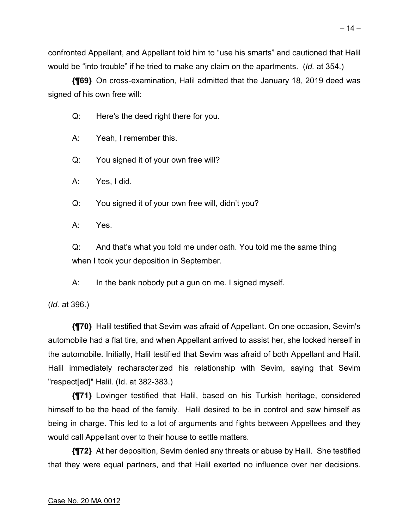confronted Appellant, and Appellant told him to "use his smarts" and cautioned that Halil would be "into trouble" if he tried to make any claim on the apartments. (*Id.* at 354.)

**{¶69}** On cross-examination, Halil admitted that the January 18, 2019 deed was signed of his own free will:

Q: Here's the deed right there for you.

A: Yeah, I remember this.

Q: You signed it of your own free will?

A: Yes, I did.

Q: You signed it of your own free will, didn't you?

A: Yes.

Q: And that's what you told me under oath. You told me the same thing when I took your deposition in September.

A: In the bank nobody put a gun on me. I signed myself.

(*Id.* at 396.)

**{¶70}** Halil testified that Sevim was afraid of Appellant. On one occasion, Sevim's automobile had a flat tire, and when Appellant arrived to assist her, she locked herself in the automobile. Initially, Halil testified that Sevim was afraid of both Appellant and Halil. Halil immediately recharacterized his relationship with Sevim, saying that Sevim "respect[ed]" Halil. (Id. at 382-383.)

**{¶71}** Lovinger testified that Halil, based on his Turkish heritage, considered himself to be the head of the family. Halil desired to be in control and saw himself as being in charge. This led to a lot of arguments and fights between Appellees and they would call Appellant over to their house to settle matters.

**{¶72}** At her deposition, Sevim denied any threats or abuse by Halil. She testified that they were equal partners, and that Halil exerted no influence over her decisions.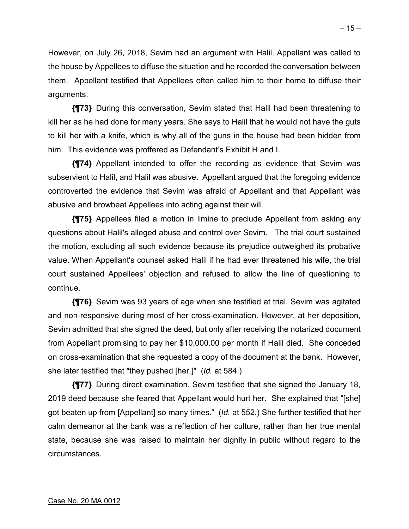However, on July 26, 2018, Sevim had an argument with Halil. Appellant was called to the house by Appellees to diffuse the situation and he recorded the conversation between them. Appellant testified that Appellees often called him to their home to diffuse their arguments.

**{¶73}** During this conversation, Sevim stated that Halil had been threatening to kill her as he had done for many years. She says to Halil that he would not have the guts to kill her with a knife, which is why all of the guns in the house had been hidden from him. This evidence was proffered as Defendant's Exhibit H and I.

**{¶74}** Appellant intended to offer the recording as evidence that Sevim was subservient to Halil, and Halil was abusive. Appellant argued that the foregoing evidence controverted the evidence that Sevim was afraid of Appellant and that Appellant was abusive and browbeat Appellees into acting against their will.

**{¶75}** Appellees filed a motion in limine to preclude Appellant from asking any questions about Halil's alleged abuse and control over Sevim. The trial court sustained the motion, excluding all such evidence because its prejudice outweighed its probative value. When Appellant's counsel asked Halil if he had ever threatened his wife, the trial court sustained Appellees' objection and refused to allow the line of questioning to continue.

**{¶76}** Sevim was 93 years of age when she testified at trial. Sevim was agitated and non-responsive during most of her cross-examination. However, at her deposition, Sevim admitted that she signed the deed, but only after receiving the notarized document from Appellant promising to pay her \$10,000.00 per month if Halil died. She conceded on cross-examination that she requested a copy of the document at the bank. However, she later testified that "they pushed [her.]" (*Id.* at 584.)

**{¶77}** During direct examination, Sevim testified that she signed the January 18, 2019 deed because she feared that Appellant would hurt her. She explained that "[she] got beaten up from [Appellant] so many times." (*Id.* at 552.) She further testified that her calm demeanor at the bank was a reflection of her culture, rather than her true mental state, because she was raised to maintain her dignity in public without regard to the circumstances.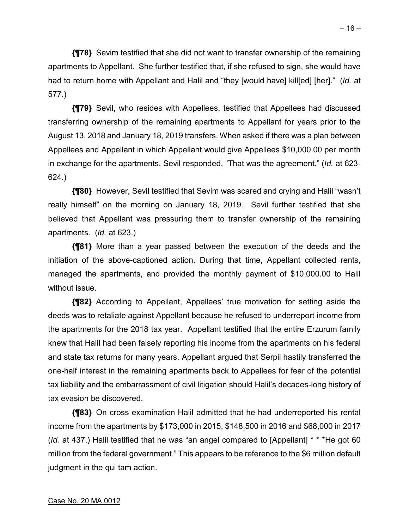**{¶78}** Sevim testified that she did not want to transfer ownership of the remaining apartments to Appellant. She further testified that, if she refused to sign, she would have had to return home with Appellant and Halil and "they [would have] kill[ed] [her]." (*Id.* at 577.)

**{¶79}** Sevil, who resides with Appellees, testified that Appellees had discussed transferring ownership of the remaining apartments to Appellant for years prior to the August 13, 2018 and January 18, 2019 transfers. When asked if there was a plan between Appellees and Appellant in which Appellant would give Appellees \$10,000.00 per month in exchange for the apartments, Sevil responded, "That was the agreement." (*Id.* at 623- 624.)

**{¶80}** However, Sevil testified that Sevim was scared and crying and Halil "wasn't really himself" on the morning on January 18, 2019. Sevil further testified that she believed that Appellant was pressuring them to transfer ownership of the remaining apartments. (*Id.* at 623.)

**{¶81}** More than a year passed between the execution of the deeds and the initiation of the above-captioned action. During that time, Appellant collected rents, managed the apartments, and provided the monthly payment of \$10,000.00 to Halil without issue.

**{¶82}** According to Appellant, Appellees' true motivation for setting aside the deeds was to retaliate against Appellant because he refused to underreport income from the apartments for the 2018 tax year. Appellant testified that the entire Erzurum family knew that Halil had been falsely reporting his income from the apartments on his federal and state tax returns for many years. Appellant argued that Serpil hastily transferred the one-half interest in the remaining apartments back to Appellees for fear of the potential tax liability and the embarrassment of civil litigation should Halil's decades-long history of tax evasion be discovered.

**{¶83}** On cross examination Halil admitted that he had underreported his rental income from the apartments by \$173,000 in 2015, \$148,500 in 2016 and \$68,000 in 2017 (*Id.* at 437.) Halil testified that he was "an angel compared to [Appellant] \* \* \*He got 60 million from the federal government." This appears to be reference to the \$6 million default judgment in the qui tam action.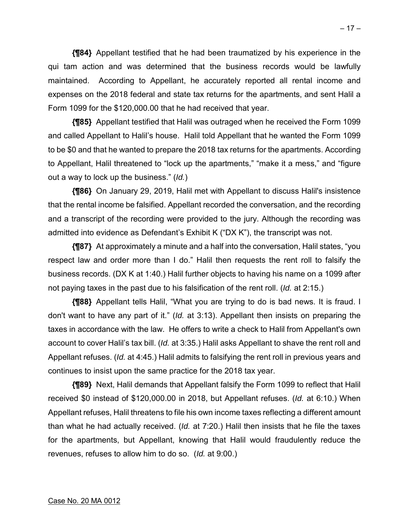**{¶84}** Appellant testified that he had been traumatized by his experience in the qui tam action and was determined that the business records would be lawfully maintained. According to Appellant, he accurately reported all rental income and expenses on the 2018 federal and state tax returns for the apartments, and sent Halil a Form 1099 for the \$120,000.00 that he had received that year.

**{¶85}** Appellant testified that Halil was outraged when he received the Form 1099 and called Appellant to Halil's house. Halil told Appellant that he wanted the Form 1099 to be \$0 and that he wanted to prepare the 2018 tax returns for the apartments. According to Appellant, Halil threatened to "lock up the apartments," "make it a mess," and "figure out a way to lock up the business." (*Id.*)

**{¶86}** On January 29, 2019, Halil met with Appellant to discuss Halil's insistence that the rental income be falsified. Appellant recorded the conversation, and the recording and a transcript of the recording were provided to the jury. Although the recording was admitted into evidence as Defendant's Exhibit K ("DX K"), the transcript was not.

**{¶87}** At approximately a minute and a half into the conversation, Halil states, "you respect law and order more than I do." Halil then requests the rent roll to falsify the business records. (DX K at 1:40.) Halil further objects to having his name on a 1099 after not paying taxes in the past due to his falsification of the rent roll. (*Id.* at 2:15.)

**{¶88}** Appellant tells Halil, "What you are trying to do is bad news. It is fraud. I don't want to have any part of it." (*Id.* at 3:13). Appellant then insists on preparing the taxes in accordance with the law. He offers to write a check to Halil from Appellant's own account to cover Halil's tax bill. (*Id.* at 3:35.) Halil asks Appellant to shave the rent roll and Appellant refuses. (*Id.* at 4:45.) Halil admits to falsifying the rent roll in previous years and continues to insist upon the same practice for the 2018 tax year.

**{¶89}** Next, Halil demands that Appellant falsify the Form 1099 to reflect that Halil received \$0 instead of \$120,000.00 in 2018, but Appellant refuses. (*Id.* at 6:10.) When Appellant refuses, Halil threatens to file his own income taxes reflecting a different amount than what he had actually received. (*Id.* at 7:20.) Halil then insists that he file the taxes for the apartments, but Appellant, knowing that Halil would fraudulently reduce the revenues, refuses to allow him to do so. (*Id.* at 9:00.)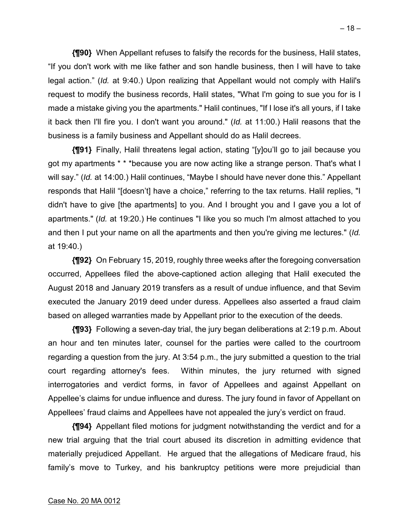**{¶90}** When Appellant refuses to falsify the records for the business, Halil states, "If you don't work with me like father and son handle business, then I will have to take legal action." (*Id.* at 9:40.) Upon realizing that Appellant would not comply with Halil's request to modify the business records, Halil states, "What I'm going to sue you for is I made a mistake giving you the apartments." Halil continues, "If I lose it's all yours, if I take it back then I'll fire you. I don't want you around." (*Id.* at 11:00.) Halil reasons that the business is a family business and Appellant should do as Halil decrees.

**{¶91}** Finally, Halil threatens legal action, stating "[y]ou'll go to jail because you got my apartments \* \* \*because you are now acting like a strange person. That's what I will say." (*Id.* at 14:00.) Halil continues, "Maybe I should have never done this." Appellant responds that Halil "[doesn't] have a choice," referring to the tax returns. Halil replies, "I didn't have to give [the apartments] to you. And I brought you and I gave you a lot of apartments." (*Id.* at 19:20.) He continues "I like you so much I'm almost attached to you and then I put your name on all the apartments and then you're giving me lectures." (*Id.* at 19:40.)

**{¶92}** On February 15, 2019, roughly three weeks after the foregoing conversation occurred, Appellees filed the above-captioned action alleging that Halil executed the August 2018 and January 2019 transfers as a result of undue influence, and that Sevim executed the January 2019 deed under duress. Appellees also asserted a fraud claim based on alleged warranties made by Appellant prior to the execution of the deeds.

**{¶93}** Following a seven-day trial, the jury began deliberations at 2:19 p.m. About an hour and ten minutes later, counsel for the parties were called to the courtroom regarding a question from the jury. At 3:54 p.m., the jury submitted a question to the trial court regarding attorney's fees. Within minutes, the jury returned with signed interrogatories and verdict forms, in favor of Appellees and against Appellant on Appellee's claims for undue influence and duress. The jury found in favor of Appellant on Appellees' fraud claims and Appellees have not appealed the jury's verdict on fraud.

**{¶94}** Appellant filed motions for judgment notwithstanding the verdict and for a new trial arguing that the trial court abused its discretion in admitting evidence that materially prejudiced Appellant. He argued that the allegations of Medicare fraud, his family's move to Turkey, and his bankruptcy petitions were more prejudicial than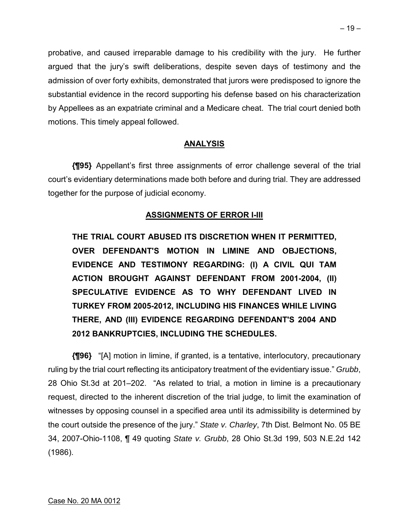probative, and caused irreparable damage to his credibility with the jury. He further argued that the jury's swift deliberations, despite seven days of testimony and the admission of over forty exhibits, demonstrated that jurors were predisposed to ignore the substantial evidence in the record supporting his defense based on his characterization by Appellees as an expatriate criminal and a Medicare cheat. The trial court denied both motions. This timely appeal followed.

## **ANALYSIS**

**{¶95}** Appellant's first three assignments of error challenge several of the trial court's evidentiary determinations made both before and during trial. They are addressed together for the purpose of judicial economy.

## **ASSIGNMENTS OF ERROR I-III**

**THE TRIAL COURT ABUSED ITS DISCRETION WHEN IT PERMITTED, OVER DEFENDANT'S MOTION IN LIMINE AND OBJECTIONS, EVIDENCE AND TESTIMONY REGARDING: (I) A CIVIL QUI TAM ACTION BROUGHT AGAINST DEFENDANT FROM 2001-2004, (II) SPECULATIVE EVIDENCE AS TO WHY DEFENDANT LIVED IN TURKEY FROM 2005-2012, INCLUDING HIS FINANCES WHILE LIVING THERE, AND (III) EVIDENCE REGARDING DEFENDANT'S 2004 AND 2012 BANKRUPTCIES, INCLUDING THE SCHEDULES.** 

**{¶96}** "[A] motion in limine, if granted, is a tentative, interlocutory, precautionary ruling by the trial court reflecting its anticipatory treatment of the evidentiary issue." *Grubb*, 28 Ohio St.3d at 201–202. "As related to trial, a motion in limine is a precautionary request, directed to the inherent discretion of the trial judge, to limit the examination of witnesses by opposing counsel in a specified area until its admissibility is determined by the court outside the presence of the jury." *State v. Charley*, 7th Dist. Belmont No. 05 BE 34, 2007-Ohio-1108, ¶ 49 quoting *State v. Grubb*, 28 Ohio St.3d 199, 503 N.E.2d 142 (1986).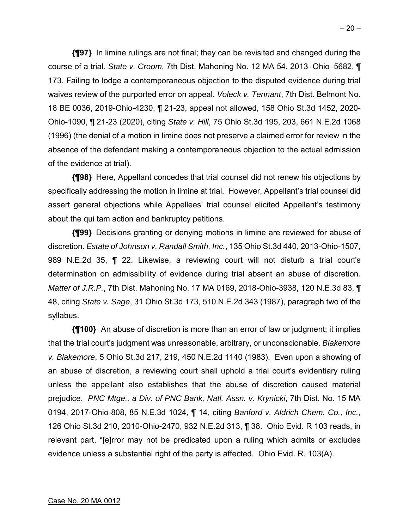**{¶97}** In limine rulings are not final; they can be revisited and changed during the course of a trial. *State v. Croom*, 7th Dist. Mahoning No. 12 MA 54, 2013–Ohio–5682, ¶ 173. Failing to lodge a contemporaneous objection to the disputed evidence during trial waives review of the purported error on appeal. *Voleck v. Tennant*, 7th Dist. Belmont No. 18 BE 0036, 2019-Ohio-4230, ¶ 21-23, appeal not allowed, 158 Ohio St.3d 1452, 2020- Ohio-1090, ¶ 21-23 (2020), citing *State v. Hill*, 75 Ohio St.3d 195, 203, 661 N.E.2d 1068 (1996) (the denial of a motion in limine does not preserve a claimed error for review in the absence of the defendant making a contemporaneous objection to the actual admission of the evidence at trial).

**{¶98}** Here, Appellant concedes that trial counsel did not renew his objections by specifically addressing the motion in limine at trial. However, Appellant's trial counsel did assert general objections while Appellees' trial counsel elicited Appellant's testimony about the qui tam action and bankruptcy petitions.

**{¶99}** Decisions granting or denying motions in limine are reviewed for abuse of discretion. *Estate of Johnson v. Randall Smith, Inc.*, 135 Ohio St.3d 440, 2013-Ohio-1507, 989 N.E.2d 35, ¶ 22. Likewise, a reviewing court will not disturb a trial court's determination on admissibility of evidence during trial absent an abuse of discretion*. Matter of J.R.P.*, 7th Dist. Mahoning No. 17 MA 0169, 2018-Ohio-3938, 120 N.E.3d 83, ¶ 48, citing *State v. Sage*, 31 Ohio St.3d 173, 510 N.E.2d 343 (1987), paragraph two of the syllabus.

**{¶100}** An abuse of discretion is more than an error of law or judgment; it implies that the trial court's judgment was unreasonable, arbitrary, or unconscionable. *Blakemore v. Blakemore*, 5 Ohio St.3d 217, 219, 450 N.E.2d 1140 (1983). Even upon a showing of an abuse of discretion, a reviewing court shall uphold a trial court's evidentiary ruling unless the appellant also establishes that the abuse of discretion caused material prejudice. *PNC Mtge., a Div. of PNC Bank, Natl. Assn. v. Krynicki*, 7th Dist. No. 15 MA 0194, 2017-Ohio-808, 85 N.E.3d 1024, ¶ 14, citing *Banford v. Aldrich Chem. Co., Inc.*, 126 Ohio St.3d 210, 2010-Ohio-2470, 932 N.E.2d 313, ¶ 38. Ohio Evid. R 103 reads, in relevant part, "[e]rror may not be predicated upon a ruling which admits or excludes evidence unless a substantial right of the party is affected. Ohio Evid. R. 103(A).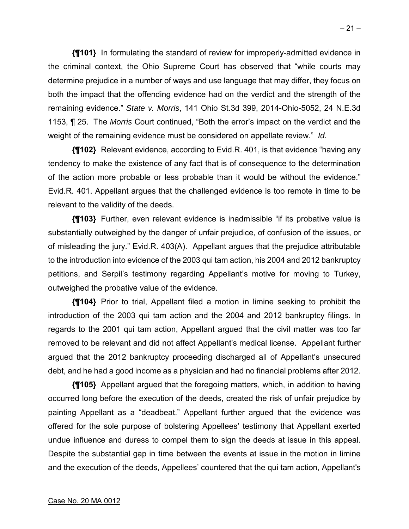**{¶101}** In formulating the standard of review for improperly-admitted evidence in the criminal context, the Ohio Supreme Court has observed that "while courts may determine prejudice in a number of ways and use language that may differ, they focus on both the impact that the offending evidence had on the verdict and the strength of the remaining evidence." *State v. Morris*, 141 Ohio St.3d 399, 2014-Ohio-5052, 24 N.E.3d 1153, ¶ 25. The *Morris* Court continued, "Both the error's impact on the verdict and the weight of the remaining evidence must be considered on appellate review." *Id.* 

**{¶102}** Relevant evidence, according to Evid.R. 401, is that evidence "having any tendency to make the existence of any fact that is of consequence to the determination of the action more probable or less probable than it would be without the evidence." Evid.R. 401. Appellant argues that the challenged evidence is too remote in time to be relevant to the validity of the deeds.

**{¶103}** Further, even relevant evidence is inadmissible "if its probative value is substantially outweighed by the danger of unfair prejudice, of confusion of the issues, or of misleading the jury." Evid.R. 403(A). Appellant argues that the prejudice attributable to the introduction into evidence of the 2003 qui tam action, his 2004 and 2012 bankruptcy petitions, and Serpil's testimony regarding Appellant's motive for moving to Turkey, outweighed the probative value of the evidence.

**{¶104}** Prior to trial, Appellant filed a motion in limine seeking to prohibit the introduction of the 2003 qui tam action and the 2004 and 2012 bankruptcy filings. In regards to the 2001 qui tam action, Appellant argued that the civil matter was too far removed to be relevant and did not affect Appellant's medical license. Appellant further argued that the 2012 bankruptcy proceeding discharged all of Appellant's unsecured debt, and he had a good income as a physician and had no financial problems after 2012.

**{¶105}** Appellant argued that the foregoing matters, which, in addition to having occurred long before the execution of the deeds, created the risk of unfair prejudice by painting Appellant as a "deadbeat." Appellant further argued that the evidence was offered for the sole purpose of bolstering Appellees' testimony that Appellant exerted undue influence and duress to compel them to sign the deeds at issue in this appeal. Despite the substantial gap in time between the events at issue in the motion in limine and the execution of the deeds, Appellees' countered that the qui tam action, Appellant's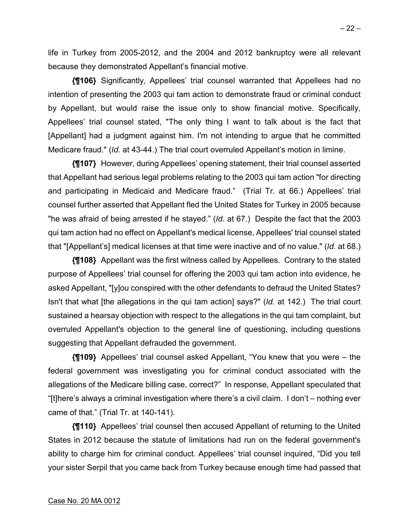life in Turkey from 2005-2012, and the 2004 and 2012 bankruptcy were all relevant because they demonstrated Appellant's financial motive.

**{¶106}** Significantly, Appellees' trial counsel warranted that Appellees had no intention of presenting the 2003 qui tam action to demonstrate fraud or criminal conduct by Appellant, but would raise the issue only to show financial motive. Specifically, Appellees' trial counsel stated, "The only thing I want to talk about is the fact that [Appellant] had a judgment against him. I'm not intending to argue that he committed Medicare fraud." (*Id.* at 43-44.) The trial court overruled Appellant's motion in limine.

**{¶107}** However, during Appellees' opening statement, their trial counsel asserted that Appellant had serious legal problems relating to the 2003 qui tam action "for directing and participating in Medicaid and Medicare fraud." (Trial Tr. at 66.) Appellees' trial counsel further asserted that Appellant fled the United States for Turkey in 2005 because "he was afraid of being arrested if he stayed." (*Id.* at 67.) Despite the fact that the 2003 qui tam action had no effect on Appellant's medical license, Appellees' trial counsel stated that "[Appellant's] medical licenses at that time were inactive and of no value." (*Id.* at 68.)

**{¶108}** Appellant was the first witness called by Appellees. Contrary to the stated purpose of Appellees' trial counsel for offering the 2003 qui tam action into evidence, he asked Appellant, "[y]ou conspired with the other defendants to defraud the United States? Isn't that what [the allegations in the qui tam action] says?" (*Id.* at 142.) The trial court sustained a hearsay objection with respect to the allegations in the qui tam complaint, but overruled Appellant's objection to the general line of questioning, including questions suggesting that Appellant defrauded the government.

**{¶109}** Appellees' trial counsel asked Appellant, "You knew that you were – the federal government was investigating you for criminal conduct associated with the allegations of the Medicare billing case, correct?" In response, Appellant speculated that "[t]here's always a criminal investigation where there's a civil claim. I don't – nothing ever came of that." (Trial Tr. at 140-141).

**{¶110}** Appellees' trial counsel then accused Appellant of returning to the United States in 2012 because the statute of limitations had run on the federal government's ability to charge him for criminal conduct. Appellees' trial counsel inquired, "Did you tell your sister Serpil that you came back from Turkey because enough time had passed that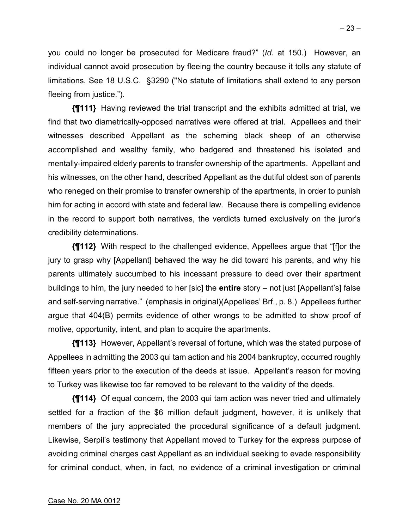you could no longer be prosecuted for Medicare fraud?" (*Id.* at 150.) However, an individual cannot avoid prosecution by fleeing the country because it tolls any statute of limitations. See 18 U.S.C. §3290 ("No statute of limitations shall extend to any person fleeing from justice.").

**{¶111}** Having reviewed the trial transcript and the exhibits admitted at trial, we find that two diametrically-opposed narratives were offered at trial. Appellees and their witnesses described Appellant as the scheming black sheep of an otherwise accomplished and wealthy family, who badgered and threatened his isolated and mentally-impaired elderly parents to transfer ownership of the apartments. Appellant and his witnesses, on the other hand, described Appellant as the dutiful oldest son of parents who reneged on their promise to transfer ownership of the apartments, in order to punish him for acting in accord with state and federal law. Because there is compelling evidence in the record to support both narratives, the verdicts turned exclusively on the juror's credibility determinations.

**{¶112}** With respect to the challenged evidence, Appellees argue that "[f]or the jury to grasp why [Appellant] behaved the way he did toward his parents, and why his parents ultimately succumbed to his incessant pressure to deed over their apartment buildings to him, the jury needed to her [sic] the **entire** story – not just [Appellant's] false and self-serving narrative." (emphasis in original)(Appellees' Brf., p. 8.) Appellees further argue that 404(B) permits evidence of other wrongs to be admitted to show proof of motive, opportunity, intent, and plan to acquire the apartments.

**{¶113}** However, Appellant's reversal of fortune, which was the stated purpose of Appellees in admitting the 2003 qui tam action and his 2004 bankruptcy, occurred roughly fifteen years prior to the execution of the deeds at issue. Appellant's reason for moving to Turkey was likewise too far removed to be relevant to the validity of the deeds.

**{¶114}** Of equal concern, the 2003 qui tam action was never tried and ultimately settled for a fraction of the \$6 million default judgment, however, it is unlikely that members of the jury appreciated the procedural significance of a default judgment. Likewise, Serpil's testimony that Appellant moved to Turkey for the express purpose of avoiding criminal charges cast Appellant as an individual seeking to evade responsibility for criminal conduct, when, in fact, no evidence of a criminal investigation or criminal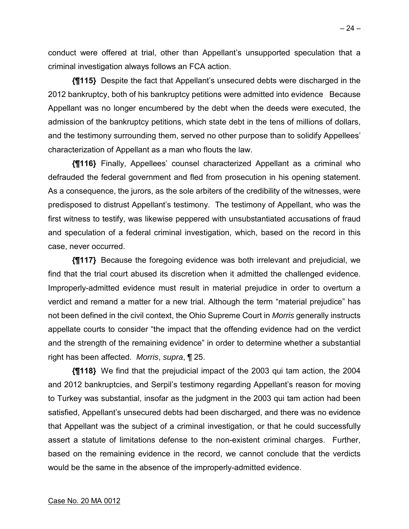conduct were offered at trial, other than Appellant's unsupported speculation that a criminal investigation always follows an FCA action.

**{¶115}** Despite the fact that Appellant's unsecured debts were discharged in the 2012 bankruptcy, both of his bankruptcy petitions were admitted into evidence Because Appellant was no longer encumbered by the debt when the deeds were executed, the admission of the bankruptcy petitions, which state debt in the tens of millions of dollars, and the testimony surrounding them, served no other purpose than to solidify Appellees' characterization of Appellant as a man who flouts the law.

**{¶116}** Finally, Appellees' counsel characterized Appellant as a criminal who defrauded the federal government and fled from prosecution in his opening statement. As a consequence, the jurors, as the sole arbiters of the credibility of the witnesses, were predisposed to distrust Appellant's testimony. The testimony of Appellant, who was the first witness to testify, was likewise peppered with unsubstantiated accusations of fraud and speculation of a federal criminal investigation, which, based on the record in this case, never occurred.

**{¶117}** Because the foregoing evidence was both irrelevant and prejudicial, we find that the trial court abused its discretion when it admitted the challenged evidence. Improperly-admitted evidence must result in material prejudice in order to overturn a verdict and remand a matter for a new trial. Although the term "material prejudice" has not been defined in the civil context, the Ohio Supreme Court in *Morris* generally instructs appellate courts to consider "the impact that the offending evidence had on the verdict and the strength of the remaining evidence" in order to determine whether a substantial right has been affected. *Morris*, *supra*, ¶ 25.

**{¶118}** We find that the prejudicial impact of the 2003 qui tam action, the 2004 and 2012 bankruptcies, and Serpil's testimony regarding Appellant's reason for moving to Turkey was substantial, insofar as the judgment in the 2003 qui tam action had been satisfied, Appellant's unsecured debts had been discharged, and there was no evidence that Appellant was the subject of a criminal investigation, or that he could successfully assert a statute of limitations defense to the non-existent criminal charges. Further, based on the remaining evidence in the record, we cannot conclude that the verdicts would be the same in the absence of the improperly-admitted evidence.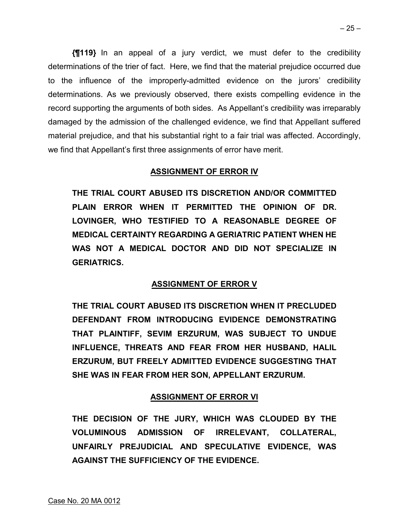**{¶119}** In an appeal of a jury verdict, we must defer to the credibility determinations of the trier of fact. Here, we find that the material prejudice occurred due to the influence of the improperly-admitted evidence on the jurors' credibility determinations. As we previously observed, there exists compelling evidence in the record supporting the arguments of both sides. As Appellant's credibility was irreparably damaged by the admission of the challenged evidence, we find that Appellant suffered material prejudice, and that his substantial right to a fair trial was affected. Accordingly, we find that Appellant's first three assignments of error have merit.

## **ASSIGNMENT OF ERROR IV**

**THE TRIAL COURT ABUSED ITS DISCRETION AND/OR COMMITTED PLAIN ERROR WHEN IT PERMITTED THE OPINION OF DR. LOVINGER, WHO TESTIFIED TO A REASONABLE DEGREE OF MEDICAL CERTAINTY REGARDING A GERIATRIC PATIENT WHEN HE WAS NOT A MEDICAL DOCTOR AND DID NOT SPECIALIZE IN GERIATRICS.** 

# **ASSIGNMENT OF ERROR V**

**THE TRIAL COURT ABUSED ITS DISCRETION WHEN IT PRECLUDED DEFENDANT FROM INTRODUCING EVIDENCE DEMONSTRATING THAT PLAINTIFF, SEVIM ERZURUM, WAS SUBJECT TO UNDUE INFLUENCE, THREATS AND FEAR FROM HER HUSBAND, HALIL ERZURUM, BUT FREELY ADMITTED EVIDENCE SUGGESTING THAT SHE WAS IN FEAR FROM HER SON, APPELLANT ERZURUM.** 

# **ASSIGNMENT OF ERROR VI**

**THE DECISION OF THE JURY, WHICH WAS CLOUDED BY THE VOLUMINOUS ADMISSION OF IRRELEVANT, COLLATERAL, UNFAIRLY PREJUDICIAL AND SPECULATIVE EVIDENCE, WAS AGAINST THE SUFFICIENCY OF THE EVIDENCE.**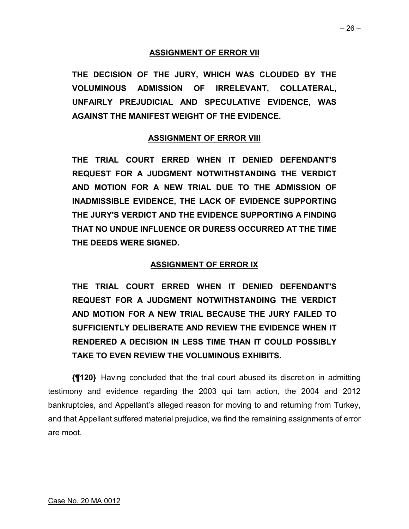## **ASSIGNMENT OF ERROR VII**

**THE DECISION OF THE JURY, WHICH WAS CLOUDED BY THE VOLUMINOUS ADMISSION OF IRRELEVANT, COLLATERAL, UNFAIRLY PREJUDICIAL AND SPECULATIVE EVIDENCE, WAS AGAINST THE MANIFEST WEIGHT OF THE EVIDENCE.** 

# **ASSIGNMENT OF ERROR VIII**

**THE TRIAL COURT ERRED WHEN IT DENIED DEFENDANT'S REQUEST FOR A JUDGMENT NOTWITHSTANDING THE VERDICT AND MOTION FOR A NEW TRIAL DUE TO THE ADMISSION OF INADMISSIBLE EVIDENCE, THE LACK OF EVIDENCE SUPPORTING THE JURY'S VERDICT AND THE EVIDENCE SUPPORTING A FINDING THAT NO UNDUE INFLUENCE OR DURESS OCCURRED AT THE TIME THE DEEDS WERE SIGNED.** 

# **ASSIGNMENT OF ERROR IX**

**THE TRIAL COURT ERRED WHEN IT DENIED DEFENDANT'S REQUEST FOR A JUDGMENT NOTWITHSTANDING THE VERDICT AND MOTION FOR A NEW TRIAL BECAUSE THE JURY FAILED TO SUFFICIENTLY DELIBERATE AND REVIEW THE EVIDENCE WHEN IT RENDERED A DECISION IN LESS TIME THAN IT COULD POSSIBLY TAKE TO EVEN REVIEW THE VOLUMINOUS EXHIBITS.** 

**{¶120}** Having concluded that the trial court abused its discretion in admitting testimony and evidence regarding the 2003 qui tam action, the 2004 and 2012 bankruptcies, and Appellant's alleged reason for moving to and returning from Turkey, and that Appellant suffered material prejudice, we find the remaining assignments of error are moot.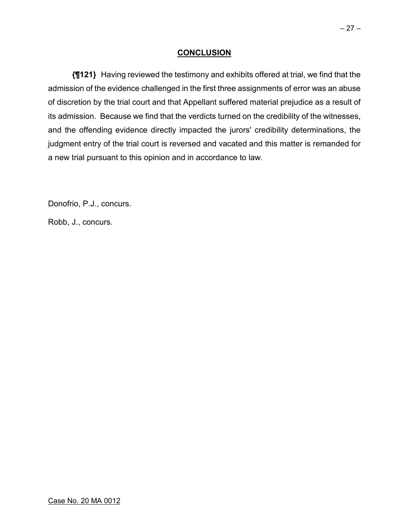## **CONCLUSION**

**{¶121}** Having reviewed the testimony and exhibits offered at trial, we find that the admission of the evidence challenged in the first three assignments of error was an abuse of discretion by the trial court and that Appellant suffered material prejudice as a result of its admission. Because we find that the verdicts turned on the credibility of the witnesses, and the offending evidence directly impacted the jurors' credibility determinations, the judgment entry of the trial court is reversed and vacated and this matter is remanded for a new trial pursuant to this opinion and in accordance to law.

Donofrio, P.J., concurs.

Robb, J., concurs.